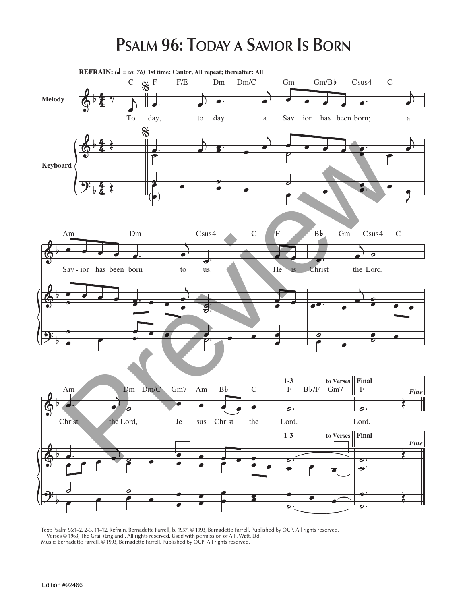## **PSALM 96: TODAY A SAVIOR IS BORN**



Text: Psalm 96:1–2, 2–3, 11–12. Refrain, Bernadette Farrell, b. 1957, © 1993, Bernadette Farrell. Published by OCP. All rights reserved. Verses © 1963, The Grail (England). All rights reserved. Used with permission of A.P. Watt, Ltd. Music: Bernadette Farrell, © 1993, Bernadette Farrell. Published by OCP. All rights reserved.